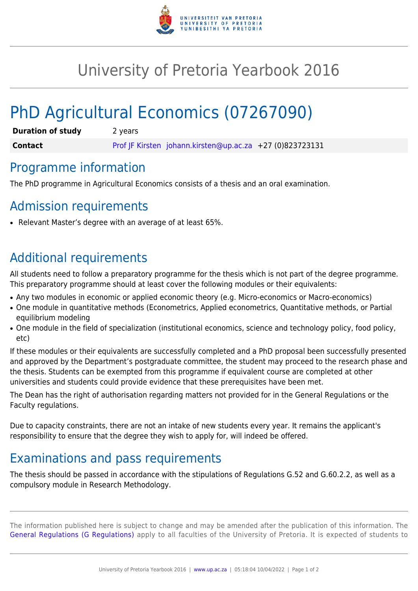

## University of Pretoria Yearbook 2016

# PhD Agricultural Economics (07267090)

| <b>Duration of study</b> | 2 years                                                  |
|--------------------------|----------------------------------------------------------|
| <b>Contact</b>           | Prof JF Kirsten johann.kirsten@up.ac.za +27 (0)823723131 |

#### Programme information

The PhD programme in Agricultural Economics consists of a thesis and an oral examination.

#### Admission requirements

Relevant Master's degree with an average of at least 65%.

#### Additional requirements

All students need to follow a preparatory programme for the thesis which is not part of the degree programme. This preparatory programme should at least cover the following modules or their equivalents:

- Any two modules in economic or applied economic theory (e.g. Micro-economics or Macro-economics)
- One module in quantitative methods (Econometrics, Applied econometrics, Quantitative methods, or Partial equilibrium modeling
- One module in the field of specialization (institutional economics, science and technology policy, food policy, etc)

If these modules or their equivalents are successfully completed and a PhD proposal been successfully presented and approved by the Department's postgraduate committee, the student may proceed to the research phase and the thesis. Students can be exempted from this programme if equivalent course are completed at other universities and students could provide evidence that these prerequisites have been met.

The Dean has the right of authorisation regarding matters not provided for in the General Regulations or the Faculty regulations.

Due to capacity constraints, there are not an intake of new students every year. It remains the applicant's responsibility to ensure that the degree they wish to apply for, will indeed be offered.

### Examinations and pass requirements

The thesis should be passed in accordance with the stipulations of Regulations G.52 and G.60.2.2, as well as a compulsory module in Research Methodology.

The information published here is subject to change and may be amended after the publication of this information. The [General Regulations \(G Regulations\)](https://www.up.ac.za/faculty-of-education/yearbooks/2016/rules/view/REG) apply to all faculties of the University of Pretoria. It is expected of students to